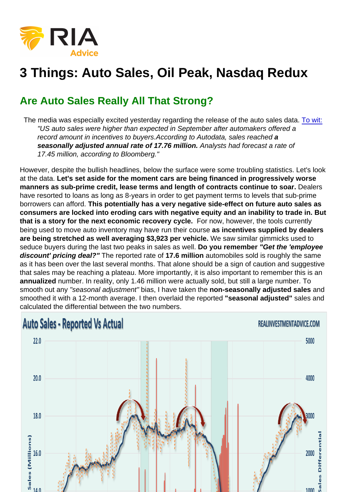## 3 Things: Auto Sales, Oil Peak, Nasdaq Redux

## Are Auto Sales Really All That Strong?

 The media was especially excited yesterday regarding the release of the auto sales data. [To wit:](http://www.businessinsider.com/us-auto-sales-september-2016-2016-10) "US auto sales were higher than expected in September after automakers offered a record amount in incentives to buyers.According to Autodata, sales reached a seasonally adjusted annual rate of 17.76 million. Analysts had forecast a rate of 17.45 million, according to Bloomberg."

However, despite the bullish headlines, below the surface were some troubling statistics. Let's look at the data. Let's set aside for the moment cars are being financed in progressively worse manners as sub-prime credit, lease terms and length of contracts continue to soar. Dealers have resorted to loans as long as 8-years in order to get payment terms to levels that sub-prime borrowers can afford. This potentially has a very negative side-effect on future auto sales as consumers are locked into eroding cars with negative equity and an inability to trade in. But that is a story for the next economic recovery cycle. For now, however, the tools currently being used to move auto inventory may have run their course as incentives supplied by dealers are being stretched as well averaging \$3,923 per vehicle. We saw similar gimmicks used to seduce buyers during the last two peaks in sales as well. Do you remember "Get the 'employee discount' pricing deal?" The reported rate of 17.6 million automobiles sold is roughly the same as it has been over the last several months. That alone should be a sign of caution and suggestive that sales may be reaching a plateau. More importantly, it is also important to remember this is an annualized number. In reality, only 1.46 million were actually sold, but still a large number. To smooth out any "seasonal adjustment" bias, I have taken the non-seasonally adjusted sales and smoothed it with a 12-month average. I then overlaid the reported "seasonal adjusted" sales and calculated the differential between the two numbers.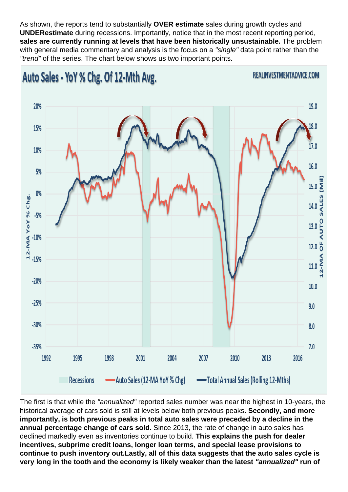As shown, the reports tend to substantially OVER estimate sales during growth cycles and UNDERestimate during recessions. Importantly, notice that in the most recent reporting period, sales are currently running at levels that have been historically unsustainable. The problem with general media commentary and analysis is the focus on a "single" data point rather than the "trend" of the series. The chart below shows us two important points.

The first is that while the "annualized" reported sales number was near the highest in 10-years, the historical average of cars sold is still at levels below both previous peaks. Secondly, and more importantly, is both previous peaks in total auto sales were preceded by a decline in the annual percentage change of cars sold. Since 2013, the rate of change in auto sales has declined markedly even as inventories continue to build. This explains the push for dealer incentives, subprime credit loans, longer loan terms, and special lease provisions to continue to push inventory out. Lastly, all of this data suggests that the auto sales cycle is very long in the tooth and the economy is likely weaker than the latest "annualized" run of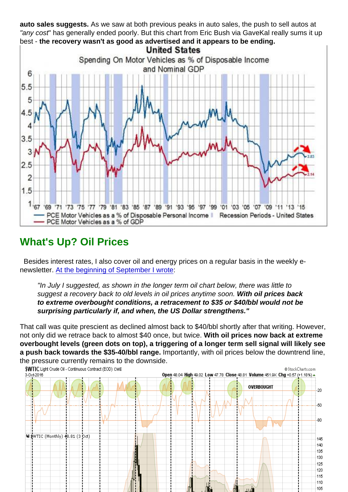auto sales suggests. As we saw at both previous peaks in auto sales, the push to sell autos at "any cost" has generally ended poorly. But this chart from Eric Bush via GaveKal really sums it up best - the recovery wasn't as good as advertised and it appears to be ending.

## What's Up? Oil Prices

 Besides interest rates, I also cover oil and energy prices on a regular basis in the weekly enewsletter. [At the beginning of September I wrote:](https://realinvestmentadvice.com/market-review-update-09-02-16/)

"In July I suggested, as shown in the longer term oil chart below, there was little to suggest a recovery back to old levels in oil prices anytime soon. With oil prices back to extreme overbought conditions, a retracement to \$35 or \$40/bbl would not be surprising particularly if, and when, the US Dollar strengthens."

That call was quite prescient as declined almost back to \$40/bbl shortly after that writing. However, not only did we retrace back to almost \$40 once, but twice. With oil prices now back at extreme overbought levels (green dots on top), a triggering of a longer term sell signal will likely see a push back towards the \$35-40/bbl range. Importantly, with oil prices below the downtrend line, the pressure currently remains to the downside.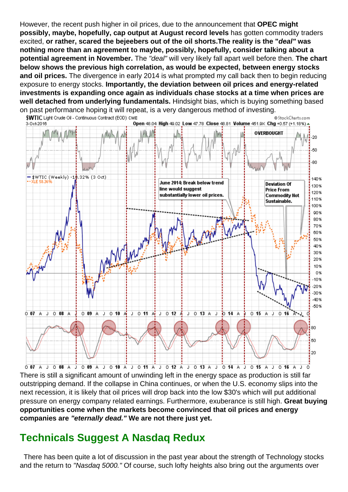However, the recent push higher in oil prices, due to the announcement that OPEC might possibly, maybe, hopefully, cap output at August record levels has gotten commodity traders excited, or rather, scared the bejeebers out of the oil shorts. The reality is the " deal" was nothing more than an agreement to maybe, possibly, hopefully, consider talking about a potential agreement in November. The "deal" will very likely fall apart well before then. The chart below shows the previous high correlation, as would be expected, between energy stocks and oil prices. The divergence in early 2014 is what prompted my call back then to begin reducing exposure to energy stocks. Importantly, the deviation between oil prices and energy-related investments is expanding once again as individuals chase stocks at a time when prices are well detached from underlying fundamentals. Hindsight bias, which is buying something based on past performance hoping it will repeat, is a very dangerous method of investing.

There is still a significant amount of unwinding left in the energy space as production is still far outstripping demand. If the collapse in China continues, or when the U.S. economy slips into the next recession, it is likely that oil prices will drop back into the low \$30's which will put additional pressure on energy company related earnings. Furthermore, exuberance is still high. Great buying opportunities come when the markets become convinced that oil prices and energy companies are "eternally dead." We are not there just yet.

## Technicals Suggest A Nasdaq Redux

 There has been quite a lot of discussion in the past year about the strength of Technology stocks and the return to "Nasdaq 5000." Of course, such lofty heights also bring out the arguments over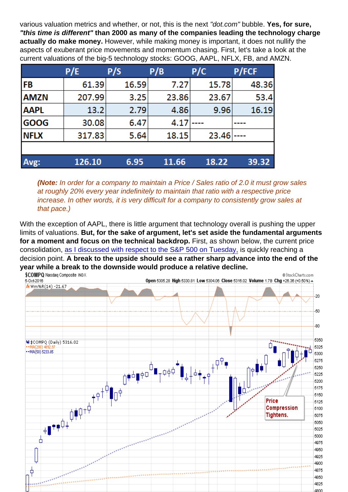various valuation metrics and whether, or not, this is the next "dot.com" bubble. Yes, for sure, "this time is different" than 2000 as many of the companies leading the technology charge actually do make money. However, while making money is important, it does not nullify the aspects of exuberant price movements and momentum chasing. First, let's take a look at the current valuations of the big-5 technology stocks: GOOG, AAPL, NFLX, FB, and AMZN.

(Note: In order for a company to maintain a Price / Sales ratio of 2.0 it must grow sales at roughly 20% every year indefinitely to maintain that ratio with a respective price increase. In other words, it is very difficult for a company to consistently grow sales at that pace.)

With the exception of AAPL, there is little argument that technology overall is pushing the upper limits of valuations. But, for the sake of argument, let's set aside the fundamental arguments for a moment and focus on the technical backdrop. First, as shown below, the current price consolidation, [as I discussed with respect to the S&P 500 on Tuesday,](https://realinvestmentadvice.com/technically-speaking-2400-or-bust/) is quickly reaching a decision point. A break to the upside should see a rather sharp advance into the end of the year while a break to the downside would produce a relative decline.